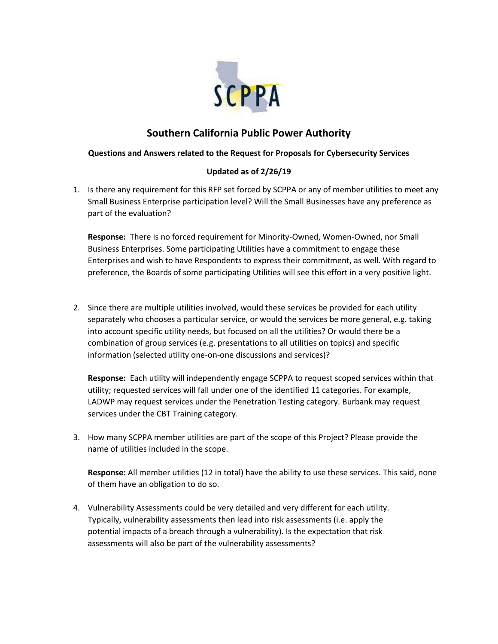

## **Southern California Public Power Authority**

## **Questions and Answers related to the Request for Proposals for Cybersecurity Services**

## **Updated as of 2/26/19**

1. Is there any requirement for this RFP set forced by SCPPA or any of member utilities to meet any Small Business Enterprise participation level? Will the Small Businesses have any preference as part of the evaluation?

**Response:** There is no forced requirement for Minority-Owned, Women-Owned, nor Small Business Enterprises. Some participating Utilities have a commitment to engage these Enterprises and wish to have Respondents to express their commitment, as well. With regard to preference, the Boards of some participating Utilities will see this effort in a very positive light.

2. Since there are multiple utilities involved, would these services be provided for each utility separately who chooses a particular service, or would the services be more general, e.g. taking into account specific utility needs, but focused on all the utilities? Or would there be a combination of group services (e.g. presentations to all utilities on topics) and specific information (selected utility one-on-one discussions and services)?

**Response:** Each utility will independently engage SCPPA to request scoped services within that utility; requested services will fall under one of the identified 11 categories. For example, LADWP may request services under the Penetration Testing category. Burbank may request services under the CBT Training category.

3. How many SCPPA member utilities are part of the scope of this Project? Please provide the name of utilities included in the scope.

**Response:** All member utilities (12 in total) have the ability to use these services. This said, none of them have an obligation to do so.

4. Vulnerability Assessments could be very detailed and very different for each utility. Typically, vulnerability assessments then lead into risk assessments (i.e. apply the potential impacts of a breach through a vulnerability). Is the expectation that risk assessments will also be part of the vulnerability assessments?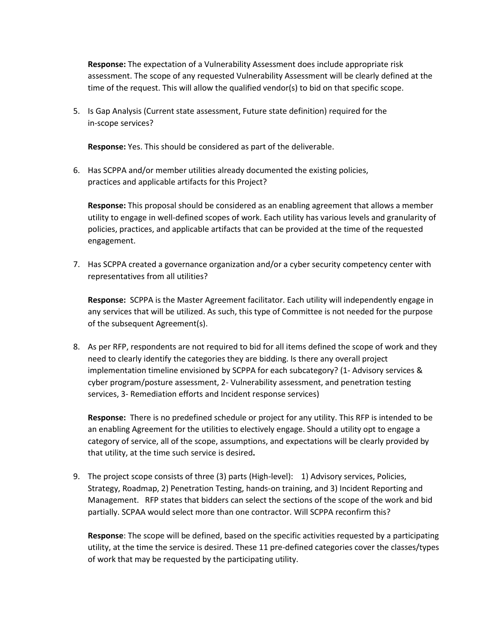**Response:** The expectation of a Vulnerability Assessment does include appropriate risk assessment. The scope of any requested Vulnerability Assessment will be clearly defined at the time of the request. This will allow the qualified vendor(s) to bid on that specific scope.

5. Is Gap Analysis (Current state assessment, Future state definition) required for the in-scope services?

**Response:** Yes. This should be considered as part of the deliverable.

6. Has SCPPA and/or member utilities already documented the existing policies, practices and applicable artifacts for this Project?

**Response:** This proposal should be considered as an enabling agreement that allows a member utility to engage in well-defined scopes of work. Each utility has various levels and granularity of policies, practices, and applicable artifacts that can be provided at the time of the requested engagement.

7. Has SCPPA created a governance organization and/or a cyber security competency center with representatives from all utilities?

**Response:** SCPPA is the Master Agreement facilitator. Each utility will independently engage in any services that will be utilized. As such, this type of Committee is not needed for the purpose of the subsequent Agreement(s).

8. As per RFP, respondents are not required to bid for all items defined the scope of work and they need to clearly identify the categories they are bidding. Is there any overall project implementation timeline envisioned by SCPPA for each subcategory? (1- Advisory services & cyber program/posture assessment, 2- Vulnerability assessment, and penetration testing services, 3- Remediation efforts and Incident response services)

**Response:** There is no predefined schedule or project for any utility. This RFP is intended to be an enabling Agreement for the utilities to electively engage. Should a utility opt to engage a category of service, all of the scope, assumptions, and expectations will be clearly provided by that utility, at the time such service is desired**.**

9. The project scope consists of three (3) parts (High-level): 1) Advisory services, Policies, Strategy, Roadmap, 2) Penetration Testing, hands-on training, and 3) Incident Reporting and Management. RFP states that bidders can select the sections of the scope of the work and bid partially. SCPAA would select more than one contractor. Will SCPPA reconfirm this?

**Response**: The scope will be defined, based on the specific activities requested by a participating utility, at the time the service is desired. These 11 pre-defined categories cover the classes/types of work that may be requested by the participating utility.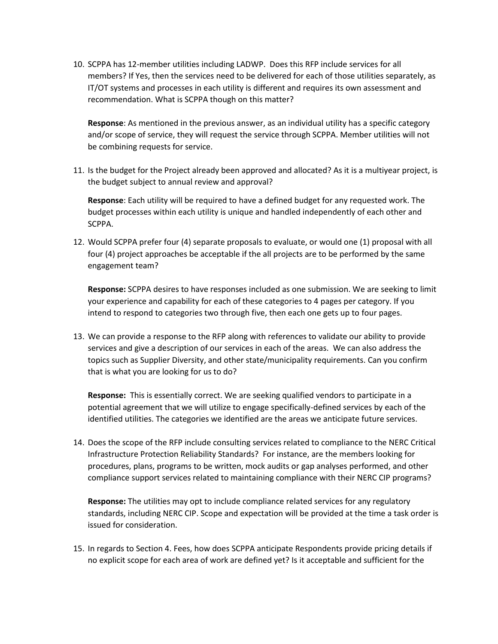10. SCPPA has 12-member utilities including LADWP. Does this RFP include services for all members? If Yes, then the services need to be delivered for each of those utilities separately, as IT/OT systems and processes in each utility is different and requires its own assessment and recommendation. What is SCPPA though on this matter?

**Response**: As mentioned in the previous answer, as an individual utility has a specific category and/or scope of service, they will request the service through SCPPA. Member utilities will not be combining requests for service.

11. Is the budget for the Project already been approved and allocated? As it is a multiyear project, is the budget subject to annual review and approval?

**Response**: Each utility will be required to have a defined budget for any requested work. The budget processes within each utility is unique and handled independently of each other and SCPPA.

12. Would SCPPA prefer four (4) separate proposals to evaluate, or would one (1) proposal with all four (4) project approaches be acceptable if the all projects are to be performed by the same engagement team?

**Response:** SCPPA desires to have responses included as one submission. We are seeking to limit your experience and capability for each of these categories to 4 pages per category. If you intend to respond to categories two through five, then each one gets up to four pages.

13. We can provide a response to the RFP along with references to validate our ability to provide services and give a description of our services in each of the areas. We can also address the topics such as Supplier Diversity, and other state/municipality requirements. Can you confirm that is what you are looking for us to do?

**Response:** This is essentially correct. We are seeking qualified vendors to participate in a potential agreement that we will utilize to engage specifically-defined services by each of the identified utilities. The categories we identified are the areas we anticipate future services.

14. Does the scope of the RFP include consulting services related to compliance to the NERC Critical Infrastructure Protection Reliability Standards? For instance, are the members looking for procedures, plans, programs to be written, mock audits or gap analyses performed, and other compliance support services related to maintaining compliance with their NERC CIP programs?

**Response:** The utilities may opt to include compliance related services for any regulatory standards, including NERC CIP. Scope and expectation will be provided at the time a task order is issued for consideration.

15. In regards to Section 4. Fees, how does SCPPA anticipate Respondents provide pricing details if no explicit scope for each area of work are defined yet? Is it acceptable and sufficient for the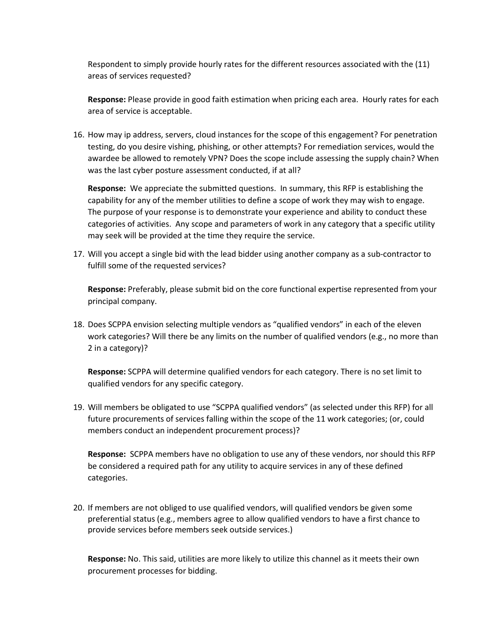Respondent to simply provide hourly rates for the different resources associated with the (11) areas of services requested?

**Response:** Please provide in good faith estimation when pricing each area. Hourly rates for each area of service is acceptable.

16. How may ip address, servers, cloud instances for the scope of this engagement? For penetration testing, do you desire vishing, phishing, or other attempts? For remediation services, would the awardee be allowed to remotely VPN? Does the scope include assessing the supply chain? When was the last cyber posture assessment conducted, if at all?

**Response:** We appreciate the submitted questions. In summary, this RFP is establishing the capability for any of the member utilities to define a scope of work they may wish to engage. The purpose of your response is to demonstrate your experience and ability to conduct these categories of activities. Any scope and parameters of work in any category that a specific utility may seek will be provided at the time they require the service.

17. Will you accept a single bid with the lead bidder using another company as a sub-contractor to fulfill some of the requested services?

**Response:** Preferably, please submit bid on the core functional expertise represented from your principal company.

18. Does SCPPA envision selecting multiple vendors as "qualified vendors" in each of the eleven work categories? Will there be any limits on the number of qualified vendors (e.g., no more than 2 in a category)?

**Response:** SCPPA will determine qualified vendors for each category. There is no set limit to qualified vendors for any specific category.

19. Will members be obligated to use "SCPPA qualified vendors" (as selected under this RFP) for all future procurements of services falling within the scope of the 11 work categories; (or, could members conduct an independent procurement process)?

**Response:** SCPPA members have no obligation to use any of these vendors, nor should this RFP be considered a required path for any utility to acquire services in any of these defined categories.

20. If members are not obliged to use qualified vendors, will qualified vendors be given some preferential status (e.g., members agree to allow qualified vendors to have a first chance to provide services before members seek outside services.)

**Response:** No. This said, utilities are more likely to utilize this channel as it meets their own procurement processes for bidding.